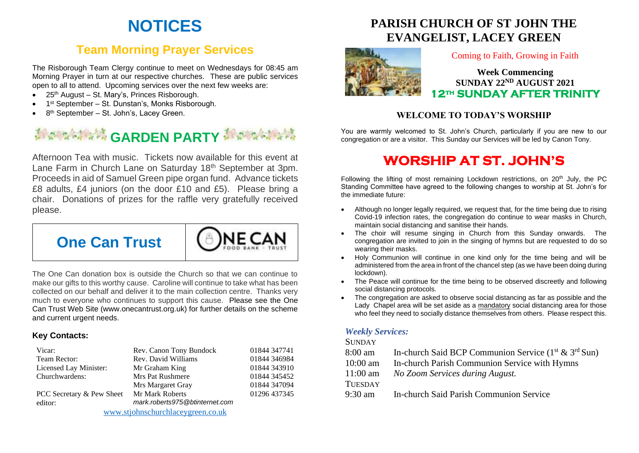# **NOTICES**

## **Team Morning Prayer Services**

The Risborough Team Clergy continue to meet on Wednesdays for 08:45 am Morning Prayer in turn at our respective churches. These are public services open to all to attend. Upcoming services over the next few weeks are:

- 25<sup>th</sup> August St. Mary's, Princes Risborough.
- 1<sup>st</sup> September St. Dunstan's, Monks Risborough.
- 8<sup>th</sup> September St. John's, Lacey Green.

# **Management CARDEN PARTY Management**

Afternoon Tea with music. Tickets now available for this event at Lane Farm in Church Lane on Saturday 18<sup>th</sup> September at 3pm. Proceeds in aid of Samuel Green pipe organ fund. Advance tickets £8 adults, £4 juniors (on the door £10 and £5). Please bring a chair. Donations of prizes for the raffle very gratefully received please.

**NECA** 



The One Can donation box is outside the Church so that we can continue to make our gifts to this worthy cause. Caroline will continue to take what has been collected on our behalf and deliver it to the main collection centre. Thanks very much to everyone who continues to support this cause. Please see the One Can Trust Web Site (www.onecantrust.org.uk) for further details on the scheme and current urgent needs.

#### **Key Contacts:**

| Vicar:                            | Rev. Canon Tony Bundock        | 01844 347741 |
|-----------------------------------|--------------------------------|--------------|
| Team Rector:                      | Rev. David Williams            | 01844 346984 |
| Licensed Lay Minister:            | Mr Graham King                 | 01844 343910 |
| Churchwardens:                    | <b>Mrs Pat Rushmere</b>        | 01844 345452 |
|                                   | Mrs Margaret Gray              | 01844 347094 |
| PCC Secretary & Pew Sheet         | Mr Mark Roberts                | 01296 437345 |
| editor:                           | mark.roberts975@btinternet.com |              |
| www.stjohnschurchlaceygreen.co.uk |                                |              |

**PARISH CHURCH OF ST JOHN THE EVANGELIST, LACEY GREEN**



#### Coming to Faith, Growing in Faith

**Week Commencing SUNDAY 22ND AUGUST 2021 12th SUNDAY AFTER TRINITY** 

### **WELCOME TO TODAY'S WORSHIP**

You are warmly welcomed to St. John's Church, particularly if you are new to our congregation or are a visitor. This Sunday our Services will be led by Canon Tony.

# **WORSHIP AT ST. JOHN'S**

Following the lifting of most remaining Lockdown restrictions, on  $20<sup>th</sup>$  July, the PC Standing Committee have agreed to the following changes to worship at St. John's for the immediate future:

- Although no longer legally required, we request that, for the time being due to rising Covid-19 infection rates, the congregation do continue to wear masks in Church, maintain social distancing and sanitise their hands.
- The choir will resume singing in Church from this Sunday onwards. The congregation are invited to join in the singing of hymns but are requested to do so wearing their masks.
- Holy Communion will continue in one kind only for the time being and will be administered from the area in front of the chancel step (as we have been doing during lockdown).
- The Peace will continue for the time being to be observed discreetly and following social distancing protocols.
- The congregation are asked to observe social distancing as far as possible and the Lady Chapel area will be set aside as a mandatory social distancing area for those who feel they need to socially distance themselves from others. Please respect this.

#### *Weekly Services:*

#### **SUNDAY**

- 8:00 am In-church Said BCP Communion Service  $(1<sup>st</sup> \& 3<sup>rd</sup> Sun)$
- 10:00 am In-church Parish Communion Service with Hymns
- 11:00 am *No Zoom Services during August.*

#### **TUESDAY**

9:30 am In-church Said Parish Communion Service